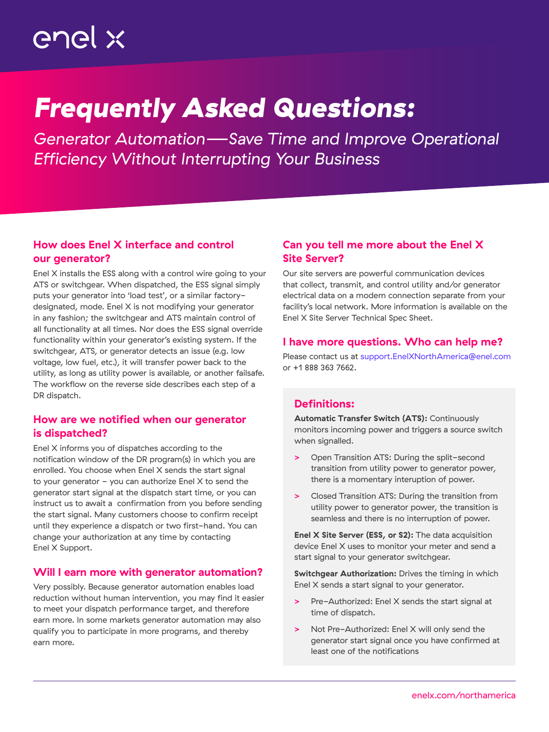# enel x

## *Frequently Asked Questions:*

*Generator Automation—Save Time and Improve Operational Efficiency Without Interrupting Your Business*

## How does Enel X interface and control our generator?

Enel X installs the ESS along with a control wire going to your ATS or switchgear. When dispatched, the ESS signal simply puts your generator into 'load test', or a similar factorydesignated, mode. Enel X is not modifying your generator in any fashion; the switchgear and ATS maintain control of all functionality at all times. Nor does the ESS signal override functionality within your generator's existing system. If the switchgear, ATS, or generator detects an issue (e.g. low voltage, low fuel, etc.), it will transfer power back to the utility, as long as utility power is available, or another failsafe. The workflow on the reverse side describes each step of a DR dispatch.

## How are we notified when our generator is dispatched?

Enel X informs you of dispatches according to the notification window of the DR program(s) in which you are enrolled. You choose when Enel X sends the start signal to your generator  $-$  you can authorize Enel  $X$  to send the generator start signal at the dispatch start time, or you can instruct us to await a confirmation from you before sending the start signal. Many customers choose to confirm receipt until they experience a dispatch or two first-hand. You can change your authorization at any time by contacting Enel X Support.

#### Will I earn more with generator automation?

Very possibly. Because generator automation enables load reduction without human intervention, you may find it easier to meet your dispatch performance target, and therefore earn more. In some markets generator automation may also qualify you to participate in more programs, and thereby earn more.

## Can you tell me more about the Enel X Site Server?

Our site servers are powerful communication devices that collect, transmit, and control utility and/or generator electrical data on a modem connection separate from your facility's local network. More information is available on the [Enel X Site Server Technical Spec Sheet.](http://)

#### I have more questions. Who can help me?

Please contact us at [support.EnelXNorthAmerica@enel.com](http://support.EnelXNorthAmerica@enel.com) or +1 888 363 7662.

## Definitions:

Automatic Transfer Switch (ATS): Continuously monitors incoming power and triggers a source switch when signalled.

- **>** Open Transition ATS: During the split-second transition from utility power to generator power, there is a momentary interuption of power.
- **>** Closed Transition ATS: During the transition from utility power to generator power, the transition is seamless and there is no interruption of power.

Enel X Site Server (ESS, or S2): The data acquisition device Enel X uses to monitor your meter and send a start signal to your generator switchgear.

Switchgear Authorization: Drives the timing in which Enel X sends a start signal to your generator.

- **>** Pre-Authorized: Enel X sends the start signal at time of dispatch.
- **>** Not Pre-Authorized: Enel X will only send the generator start signal once you have confirmed at least one of the notifications